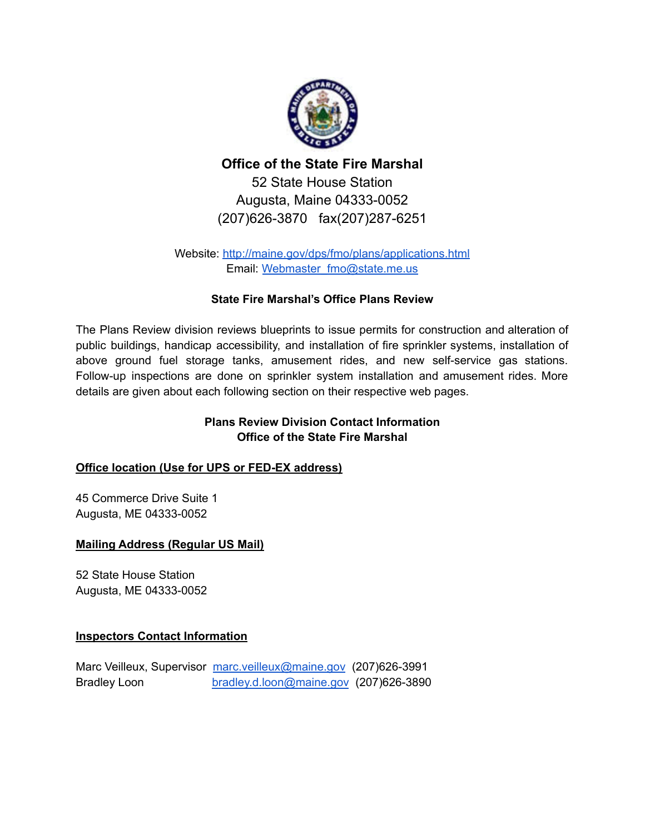

# **Office of the State Fire Marshal** 52 State House Station Augusta, Maine 04333-0052 (207)626-3870 fax(207)287-6251

Website: <http://maine.gov/dps/fmo/plans/applications.html> Email: [Webmaster\\_fmo@state.me.us](mailto:Webmaster_fmo@state.me.us)

# **State Fire Marshal's Office Plans Review**

The Plans Review division reviews blueprints to issue permits for construction and alteration of public buildings, handicap accessibility, and installation of fire sprinkler systems, installation of above ground fuel storage tanks, amusement rides, and new self-service gas stations. Follow-up inspections are done on sprinkler system installation and amusement rides. More details are given about each following section on their respective web pages.

# **Plans Review Division Contact Information Office of the State Fire Marshal**

### **Office location (Use for UPS or FED-EX address)**

45 Commerce Drive Suite 1 Augusta, ME 04333-0052

### **Mailing Address (Regular US Mail)**

52 State House Station Augusta, ME 04333-0052

### **Inspectors Contact Information**

Marc Veilleux, Supervisor [marc.veilleux@maine.gov](mailto:marc.veilleux@maine.gov) (207)626-3991 Bradley Loon [bradley.d.loon@maine.gov](mailto:bradley.d.loon@maine.gov) (207)626-3890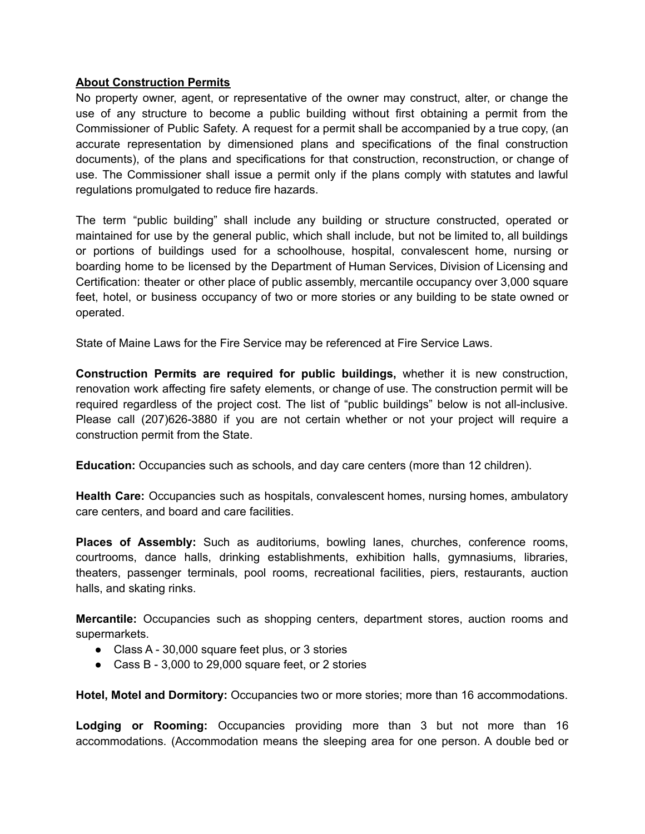#### **About Construction Permits**

No property owner, agent, or representative of the owner may construct, alter, or change the use of any structure to become a public building without first obtaining a permit from the Commissioner of Public Safety. A request for a permit shall be accompanied by a true copy, (an accurate representation by dimensioned plans and specifications of the final construction documents), of the plans and specifications for that construction, reconstruction, or change of use. The Commissioner shall issue a permit only if the plans comply with statutes and lawful regulations promulgated to reduce fire hazards.

The term "public building" shall include any building or structure constructed, operated or maintained for use by the general public, which shall include, but not be limited to, all buildings or portions of buildings used for a schoolhouse, hospital, convalescent home, nursing or boarding home to be licensed by the Department of Human Services, Division of Licensing and Certification: theater or other place of public assembly, mercantile occupancy over 3,000 square feet, hotel, or business occupancy of two or more stories or any building to be state owned or operated.

State of Maine Laws for the Fire Service may be referenced at Fire Service Laws.

**Construction Permits are required for public buildings,** whether it is new construction, renovation work affecting fire safety elements, or change of use. The construction permit will be required regardless of the project cost. The list of "public buildings" below is not all-inclusive. Please call (207)626-3880 if you are not certain whether or not your project will require a construction permit from the State.

**Education:** Occupancies such as schools, and day care centers (more than 12 children).

**Health Care:** Occupancies such as hospitals, convalescent homes, nursing homes, ambulatory care centers, and board and care facilities.

**Places of Assembly:** Such as auditoriums, bowling lanes, churches, conference rooms, courtrooms, dance halls, drinking establishments, exhibition halls, gymnasiums, libraries, theaters, passenger terminals, pool rooms, recreational facilities, piers, restaurants, auction halls, and skating rinks.

**Mercantile:** Occupancies such as shopping centers, department stores, auction rooms and supermarkets.

- Class A 30,000 square feet plus, or 3 stories
- Cass B 3,000 to 29,000 square feet, or 2 stories

**Hotel, Motel and Dormitory:** Occupancies two or more stories; more than 16 accommodations.

**Lodging or Rooming:** Occupancies providing more than 3 but not more than 16 accommodations. (Accommodation means the sleeping area for one person. A double bed or